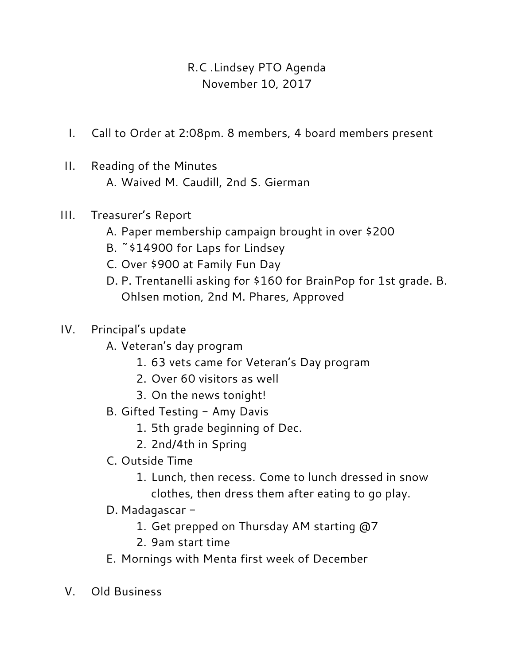## R.C .Lindsey PTO Agenda November 10, 2017

- I. Call to Order at 2:08pm. 8 members, 4 board members present
- II. Reading of the Minutes A. Waived M. Caudill, 2nd S. Gierman
- III. Treasurer's Report
	- A. Paper membership campaign brought in over \$200
	- B. ~\$14900 for Laps for Lindsey
	- C. Over \$900 at Family Fun Day
	- D. P. Trentanelli asking for \$160 for BrainPop for 1st grade. B. Ohlsen motion, 2nd M. Phares, Approved
- IV. Principal's update
	- A. Veteran's day program
		- 1. 63 vets came for Veteran's Day program
		- 2. Over 60 visitors as well
		- 3. On the news tonight!
	- B. Gifted Testing Amy Davis
		- 1. 5th grade beginning of Dec.
		- 2. 2nd/4th in Spring
	- C. Outside Time
		- 1. Lunch, then recess. Come to lunch dressed in snow clothes, then dress them after eating to go play.
	- D. Madagascar
		- 1. Get prepped on Thursday AM starting @7
		- 2. 9am start time
	- E. Mornings with Menta first week of December
- V. Old Business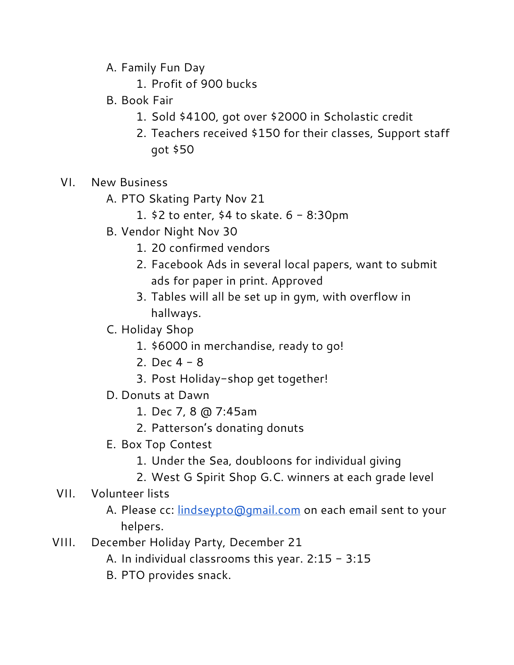- A. Family Fun Day
	- 1. Profit of 900 bucks
- B. Book Fair
	- 1. Sold \$4100, got over \$2000 in Scholastic credit
	- 2. Teachers received \$150 for their classes, Support staff got \$50
- VI. New Business
	- A. PTO Skating Party Nov 21
		- 1. \$2 to enter, \$4 to skate. 6 8:30pm
	- B. Vendor Night Nov 30
		- 1. 20 confirmed vendors
		- 2. Facebook Ads in several local papers, want to submit ads for paper in print. Approved
		- 3. Tables will all be set up in gym, with overflow in hallways.
	- C. Holiday Shop
		- 1. \$6000 in merchandise, ready to go!
		- 2. Dec  $4 8$
		- 3. Post Holiday-shop get together!
	- D. Donuts at Dawn
		- 1. Dec 7, 8 @ 7:45am
		- 2. Patterson's donating donuts
	- E. Box Top Contest
		- 1. Under the Sea, doubloons for individual giving
		- 2. West G Spirit Shop G.C. winners at each grade level
- VII. Volunteer lists
	- A. Please cc: **[lindseypto@gmail.com](mailto:lindseypto@gmail.com)** on each email sent to your helpers.
- VIII. December Holiday Party, December 21
	- A. In individual classrooms this year. 2:15 3:15
	- B. PTO provides snack.